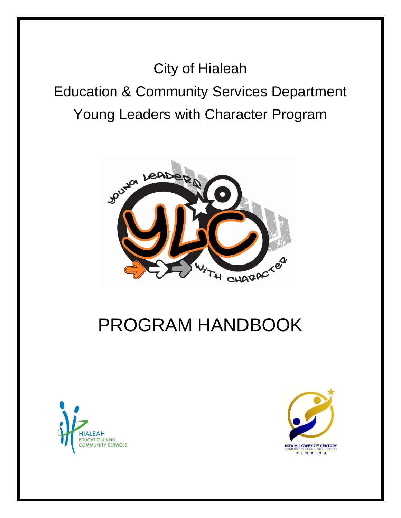City of Hialeah Education & Community Services Department Young Leaders with Character Program



# PROGRAM HANDBOOK



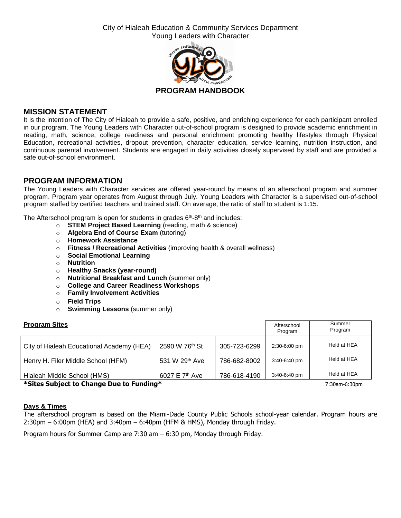City of Hialeah Education & Community Services Department Young Leaders with Character



# **MISSION STATEMENT**

It is the intention of The City of Hialeah to provide a safe, positive, and enriching experience for each participant enrolled in our program. The Young Leaders with Character out-of-school program is designed to provide academic enrichment in reading, math, science, college readiness and personal enrichment promoting healthy lifestyles through Physical Education, recreational activities, dropout prevention, character education, service learning, nutrition instruction, and continuous parental involvement. Students are engaged in daily activities closely supervised by staff and are provided a safe out-of-school environment.

# **PROGRAM INFORMATION**

The Young Leaders with Character services are offered year-round by means of an afterschool program and summer program. Program year operates from August through July. Young Leaders with Character is a supervised out-of-school program staffed by certified teachers and trained staff. On average, the ratio of staff to student is 1:15.

The Afterschool program is open for students in grades 6<sup>th</sup>-8<sup>th</sup> and includes:

- o **STEM Project Based Learning** (reading, math & science)
- o **Algebra End of Course Exam** (tutoring)
- o **Homework Assistance**
- o **Fitness / Recreational Activities** (improving health & overall wellness)
- o **Social Emotional Learning**
- o **Nutrition**
- o **Healthy Snacks (year-round)**
- o **Nutritional Breakfast and Lunch** (summer only)
- o **College and Career Readiness Workshops**
- o **Family Involvement Activities**
- o **Field Trips**
- o **Swimming Lessons** (summer only)

| <b>Program Sites</b>                      |                            |              | Afterschool<br>Program | Summer<br>Program |
|-------------------------------------------|----------------------------|--------------|------------------------|-------------------|
| City of Hialeah Educational Academy (HEA) | 2590 W 76th St             | 305-723-6299 | 2:30-6:00 pm           | Held at HEA       |
| Henry H. Filer Middle School (HFM)        | 531 W 29th Ave             | 786-682-8002 | $3:40-6:40$ pm         | Held at HEA       |
| Hialeah Middle School (HMS)               | 6027 E 7 <sup>th</sup> Ave | 786-618-4190 | $3:40-6:40$ pm         | Held at HEA       |
|                                           |                            |              |                        |                   |

**\*Sites Subject to Change Due to Funding\*** 7:30am-6:30pm

## **Days & Times**

The afterschool program is based on the Miami-Dade County Public Schools school-year calendar. Program hours are 2:30pm – 6:00pm (HEA) and 3:40pm – 6:40pm (HFM & HMS), Monday through Friday.

Program hours for Summer Camp are 7:30 am – 6:30 pm, Monday through Friday.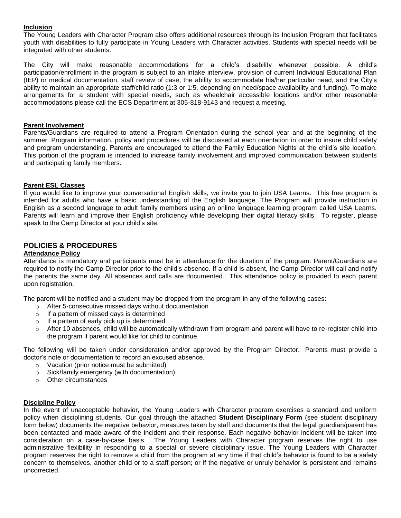### **Inclusion**

The Young Leaders with Character Program also offers additional resources through its Inclusion Program that facilitates youth with disabilities to fully participate in Young Leaders with Character activities. Students with special needs will be integrated with other students.

The City will make reasonable accommodations for a child's disability whenever possible. A child's participation/enrollment in the program is subject to an intake interview, provision of current Individual Educational Plan (IEP) or medical documentation, staff review of case, the ability to accommodate his/her particular need, and the City's ability to maintain an appropriate staff/child ratio (1:3 or 1:5, depending on need/space availability and funding). To make arrangements for a student with special needs, such as wheelchair accessible locations and/or other reasonable accommodations please call the ECS Department at 305-818-9143 and request a meeting.

### **Parent Involvement**

Parents/Guardians are required to attend a Program Orientation during the school year and at the beginning of the summer. Program information, policy and procedures will be discussed at each orientation in order to insure child safety and program understanding. Parents are encouraged to attend the Family Education Nights at the child's site location. This portion of the program is intended to increase family involvement and improved communication between students and participating family members.

## **Parent ESL Classes**

If you would like to improve your conversational English skills, we invite you to join USA Learns. This free program is intended for adults who have a basic understanding of the English language. The Program will provide instruction in English as a second language to adult family members using an online language learning program called USA Learns. Parents will learn and improve their English proficiency while developing their digital literacy skills. To register, please speak to the Camp Director at your child's site.

## **POLICIES & PROCEDURES**

## **Attendance Policy**

Attendance is mandatory and participants must be in attendance for the duration of the program. Parent/Guardians are required to notify the Camp Director prior to the child's absence. If a child is absent, the Camp Director will call and notify the parents the same day. All absences and calls are documented. This attendance policy is provided to each parent upon registration.

The parent will be notified and a student may be dropped from the program in any of the following cases:

- o After 5-consecutive missed days without documentation
- o If a pattern of missed days is determined
- $\circ$  If a pattern of early pick up is determined
- $\circ$  After 10 absences, child will be automatically withdrawn from program and parent will have to re-register child into the program if parent would like for child to continue.

The following will be taken under consideration and/or approved by the Program Director. Parents must provide a doctor's note or documentation to record an excused absence.

- o Vacation (prior notice must be submitted)
- o Sick/family emergency (with documentation)
- o Other circumstances

### **Discipline Policy**

In the event of unacceptable behavior, the Young Leaders with Character program exercises a standard and uniform policy when disciplining students. Our goal through the attached **Student Disciplinary Form** (see student disciplinary form below) documents the negative behavior, measures taken by staff and documents that the legal guardian/parent has been contacted and made aware of the incident and their response. Each negative behavior incident will be taken into consideration on a case-by-case basis. The Young Leaders with Character program reserves the right to use administrative flexibility in responding to a special or severe disciplinary issue. The Young Leaders with Character program reserves the right to remove a child from the program at any time if that child's behavior is found to be a safety concern to themselves, another child or to a staff person; or if the negative or unruly behavior is persistent and remains uncorrected.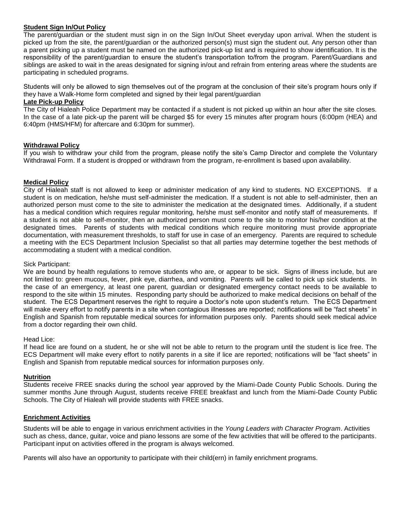## **Student Sign In/Out Policy**

The parent/guardian or the student must sign in on the Sign In/Out Sheet everyday upon arrival. When the student is picked up from the site, the parent/guardian or the authorized person(s) must sign the student out. Any person other than a parent picking up a student must be named on the authorized pick-up list and is required to show identification. It is the responsibility of the parent/guardian to ensure the student's transportation to/from the program. Parent/Guardians and siblings are asked to wait in the areas designated for signing in/out and refrain from entering areas where the students are participating in scheduled programs.

Students will only be allowed to sign themselves out of the program at the conclusion of their site's program hours only if they have a Walk-Home form completed and signed by their legal parent/guardian

### **Late Pick-up Policy**

The City of Hialeah Police Department may be contacted if a student is not picked up within an hour after the site closes. In the case of a late pick-up the parent will be charged \$5 for every 15 minutes after program hours (6:00pm (HEA) and 6:40pm (HMS/HFM) for aftercare and 6:30pm for summer).

### **Withdrawal Policy**

If you wish to withdraw your child from the program, please notify the site's Camp Director and complete the Voluntary Withdrawal Form. If a student is dropped or withdrawn from the program, re-enrollment is based upon availability.

### **Medical Policy**

City of Hialeah staff is not allowed to keep or administer medication of any kind to students. NO EXCEPTIONS. If a student is on medication, he/she must self-administer the medication. If a student is not able to self-administer, then an authorized person must come to the site to administer the medication at the designated times. Additionally, if a student has a medical condition which requires regular monitoring, he/she must self-monitor and notify staff of measurements. If a student is not able to self-monitor, then an authorized person must come to the site to monitor his/her condition at the designated times. Parents of students with medical conditions which require monitoring must provide appropriate documentation, with measurement thresholds, to staff for use in case of an emergency. Parents are required to schedule a meeting with the ECS Department Inclusion Specialist so that all parties may determine together the best methods of accommodating a student with a medical condition.

#### Sick Participant:

We are bound by health regulations to remove students who are, or appear to be sick. Signs of illness include, but are not limited to: green mucous, fever, pink eye, diarrhea, and vomiting. Parents will be called to pick up sick students. In the case of an emergency, at least one parent, guardian or designated emergency contact needs to be available to respond to the site within 15 minutes. Responding party should be authorized to make medical decisions on behalf of the student. The ECS Department reserves the right to require a Doctor's note upon student's return. The ECS Department will make every effort to notify parents in a site when contagious illnesses are reported; notifications will be "fact sheets" in English and Spanish from reputable medical sources for information purposes only. Parents should seek medical advice from a doctor regarding their own child.

#### Head Lice:

If head lice are found on a student, he or she will not be able to return to the program until the student is lice free. The ECS Department will make every effort to notify parents in a site if lice are reported; notifications will be "fact sheets" in English and Spanish from reputable medical sources for information purposes only.

#### **Nutrition**

Students receive FREE snacks during the school year approved by the Miami-Dade County Public Schools. During the summer months June through August, students receive FREE breakfast and lunch from the Miami-Dade County Public Schools. The City of Hialeah will provide students with FREE snacks.

#### **Enrichment Activities**

Students will be able to engage in various enrichment activities in the *Young Leaders with Character Program*. Activities such as chess, dance, guitar, voice and piano lessons are some of the few activities that will be offered to the participants. Participant input on activities offered in the program is always welcomed.

Parents will also have an opportunity to participate with their child(ern) in family enrichment programs.